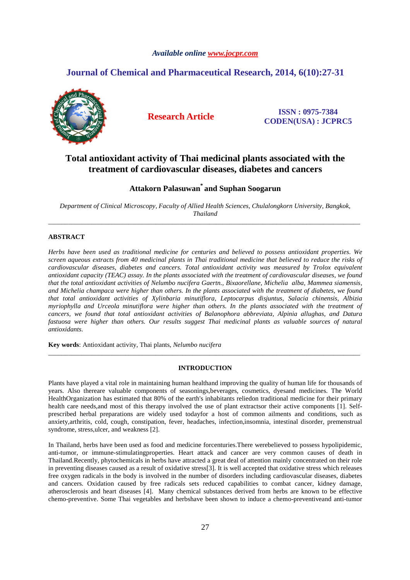## *Available online www.jocpr.com*

# **Journal of Chemical and Pharmaceutical Research, 2014, 6(10):27-31**



**Research Article ISSN : 0975-7384 CODEN(USA) : JCPRC5**

# **Total antioxidant activity of Thai medicinal plants associated with the treatment of cardiovascular diseases, diabetes and cancers**

# **Attakorn Palasuwan\* and Suphan Soogarun**

*Department of Clinical Microscopy, Faculty of Allied Health Sciences, Chulalongkorn University, Bangkok, Thailand*  \_\_\_\_\_\_\_\_\_\_\_\_\_\_\_\_\_\_\_\_\_\_\_\_\_\_\_\_\_\_\_\_\_\_\_\_\_\_\_\_\_\_\_\_\_\_\_\_\_\_\_\_\_\_\_\_\_\_\_\_\_\_\_\_\_\_\_\_\_\_\_\_\_\_\_\_\_\_\_\_\_\_\_\_\_\_\_\_\_\_\_\_\_

# **ABSTRACT**

*Herbs have been used as traditional medicine for centuries and believed to possess antioxidant properties. We screen aqueous extracts from 40 medicinal plants in Thai traditional medicine that believed to reduce the risks of cardiovascular diseases, diabetes and cancers. Total antioxidant activity was measured by Trolox equivalent antioxidant capacity (TEAC) assay. In the plants associated with the treatment of cardiovascular diseases, we found that the total antioxidant activities of Nelumbo nucifera Gaertn., Bixaorellane, Michelia alba, Mammea siamensis, and Michelia champaca were higher than others. In the plants associated with the treatment of diabetes, we found that total antioxidant activities of Xylinbaria minutiflora, Leptocarpus disjuntus, Salacia chinensis, Albizia myriophylla and Urceola minutiflora were higher than others. In the plants associated with the treatment of cancers, we found that total antioxidant activities of Balanophora abbreviata, Alpinia allughas, and Datura*  fastuosa were higher than others. Our results suggest Thai medicinal plants as valuable sources of natural *antioxidants.* 

**Key words**: Antioxidant activity, Thai plants, *Nelumbo nucifera*

### **INTRODUCTION**

\_\_\_\_\_\_\_\_\_\_\_\_\_\_\_\_\_\_\_\_\_\_\_\_\_\_\_\_\_\_\_\_\_\_\_\_\_\_\_\_\_\_\_\_\_\_\_\_\_\_\_\_\_\_\_\_\_\_\_\_\_\_\_\_\_\_\_\_\_\_\_\_\_\_\_\_\_\_\_\_\_\_\_\_\_\_\_\_\_\_\_\_\_

Plants have played a vital role in maintaining human healthand improving the quality of human life for thousands of years. Also thereare valuable components of seasonings,beverages, cosmetics, dyesand medicines. The World HealthOrganization has estimated that 80% of the earth's inhabitants reliedon traditional medicine for their primary health care needs, and most of this therapy involved the use of plant extractsor their active components [1]. Selfprescribed herbal preparations are widely used todayfor a host of common ailments and conditions, such as anxiety,arthritis, cold, cough, constipation, fever, headaches, infection,insomnia, intestinal disorder, premenstrual syndrome, stress,ulcer, and weakness [2].

In Thailand, herbs have been used as food and medicine forcenturies.There werebelieved to possess hypolipidemic, anti-tumor, or immune-stimulatingproperties. Heart attack and cancer are very common causes of death in Thailand.Recently, phytochemicals in herbs have attracted a great deal of attention mainly concentrated on their role in preventing diseases caused as a result of oxidative stress[3]. It is well accepted that oxidative stress which releases free oxygen radicals in the body is involved in the number of disorders including cardiovascular diseases, diabetes and cancers. Oxidation caused by free radicals sets reduced capabilities to combat cancer, kidney damage, atherosclerosis and heart diseases [4]. Many chemical substances derived from herbs are known to be effective chemo-preventive. Some Thai vegetables and herbshave been shown to induce a chemo-preventiveand anti-tumor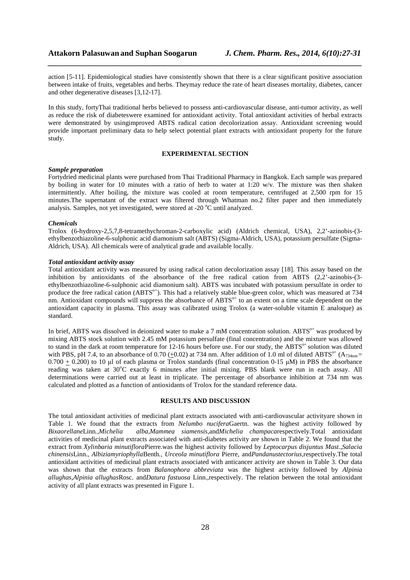action [5-11]. Epidemiological studies have consistently shown that there is a clear significant positive association between intake of fruits, vegetables and herbs. Theymay reduce the rate of heart diseases mortality, diabetes, cancer and other degenerative diseases [3,12-17].

*\_\_\_\_\_\_\_\_\_\_\_\_\_\_\_\_\_\_\_\_\_\_\_\_\_\_\_\_\_\_\_\_\_\_\_\_\_\_\_\_\_\_\_\_\_\_\_\_\_\_\_\_\_\_\_\_\_\_\_\_\_\_\_\_\_\_\_\_\_\_\_\_\_\_\_\_\_\_*

In this study, fortyThai traditional herbs believed to possess anti-cardiovascular disease, anti-tumor activity, as well as reduce the risk of diabeteswere examined for antioxidant activity. Total antioxidant activities of herbal extracts were demonstrated by usingimproved ABTS radical cation decolorization assay. Antioxidant screening would provide important preliminary data to help select potential plant extracts with antioxidant property for the future study.

### **EXPERIMENTAL SECTION**

### *Sample preparation*

Fortydried medicinal plants were purchased from Thai Traditional Pharmacy in Bangkok. Each sample was prepared by boiling in water for 10 minutes with a ratio of herb to water at 1:20 w/v. The mixture was then shaken intermittently. After boiling, the mixture was cooled at room temperature, centrifuged at 2,500 rpm for 15 minutes.The supernatant of the extract was filtered through Whatman no.2 filter paper and then immediately analysis. Samples, not yet investigated, were stored at -20  $^{\circ}$ C until analyzed.

#### *Chemicals*

Trolox (6-hydroxy-2,5,7,8-tetramethychroman-2-carboxylic acid) (Aldrich chemical, USA), 2,2'-azinobis-(3 ethylbenzothiazoline-6-sulphonic acid diamonium salt (ABTS) (Sigma-Aldrich, USA), potassium persulfate (Sigma-Aldrich, USA). All chemicals were of analytical grade and available locally.

#### *Total antioxidant activity assay*

Total antioxidant activity was measured by using radical cation decolorization assay [18]. This assay based on the inhibition by antioxidants of the absorbance of the free radical cation from ABTS (2,2'-azinobis-(3 ethylbenzothiazoline-6-sulphonic acid diamonium salt). ABTS was incubated with potassium persulfate in order to produce the free radical cation (ABTS<sup>o+</sup>). This had a relatively stable blue-green color, which was measured at 734 nm. Antioxidant compounds will suppress the absorbance of ABTS<sup>o+</sup> to an extent on a time scale dependent on the antioxidant capacity in plasma. This assay was calibrated using Trolox (a water-soluble vitamin E analoque) as standard.

In brief, ABTS was dissolved in deionized water to make a 7 mM concentration solution. ABTS<sup> $\circ$ +</sup> was produced by mixing ABTS stock solution with 2.45 mM potassium persulfate (final concentration) and the mixture was allowed to stand in the dark at room temperature for  $12-16$  hours before use. For our study, the ABTS<sup>o+</sup> solution was diluted with PBS, pH 7.4, to an absorbance of 0.70 ( $+0.02$ ) at 734 nm. After addition of 1.0 ml of diluted ABTS<sup>o+</sup> (A<sub>734nm</sub> =  $0.700 + 0.200$ ) to 10 µl of each plasma or Trolox standards (final concentration 0-15 µM) in PBS the absorbance reading was taken at 30°C exactly 6 minutes after initial mixing. PBS blank were run in each assay. All determinations were carried out at least in triplicate. The percentage of absorbance inhibition at 734 nm was calculated and plotted as a function of antioxidants of Trolox for the standard reference data.

## **RESULTS AND DISCUSSION**

The total antioxidant activities of medicinal plant extracts associated with anti-cardiovascular activityare shown in Table 1. We found that the extracts from *Nelumbo nucifera*Gaertn. was the highest activity followed by *Bixaorellane*Linn*.,Michelia alba,Mammea siamensis*,and*Michelia champaca*respectively.Total antioxidant activities of medicinal plant extracts associated with anti-diabetes activity are shown in Table 2. We found that the extract from *Xylinbaria minutiflora*Pierre*.*was the highest activity followed by *Leptocarpus disjuntus Mast.,Salacia chinensis*Linn.*, Albiziamyriophylla*Benth*., Urceola minutiflora* Pierre*,* and*Pandanustectorius,*respectively.The total antioxidant activities of medicinal plant extracts associated with anticancer activity are shown in Table 3. Our data was shown that the extracts from *Balanophora abbreviata* was the highest activity followed by *Alpinia allughas,Alpinia allughas*Rosc. and*Datura fastuosa* Linn.*,*respectively. The relation between the total antioxidant activity of all plant extracts was presented in Figure 1.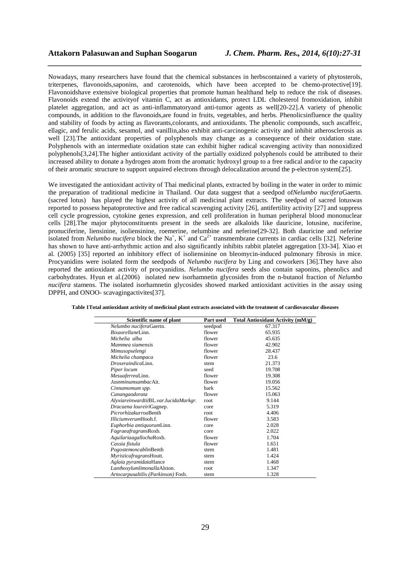Nowadays, many researchers have found that the chemical substances in herbscontained a variety of phytosterols, triterpenes, flavonoids,saponins, and carotenoids, which have been accepted to be chemo-protective[19]. Flavonoidshave extensive biological properties that promote human healthand help to reduce the risk of diseases. Flavonoids extend the activityof vitamin C, act as antioxidants, protect LDL cholesterol fromoxidation, inhibit platelet aggregation, and act as anti-inflammatoryand anti-tumor agents as well[20-22].A variety of phenolic compounds, in addition to the flavonoids,are found in fruits, vegetables, and herbs. Phenolicsinfluence the quality and stability of foods by acting as flavorants,colorants, and antioxidants. The phenolic compounds, such ascaffeic, ellagic, and ferulic acids, sesamol, and vanillin,also exhibit anti-carcinogenic activity and inhibit atherosclerosis as well [23]. The antioxidant properties of polyphenols may change as a consequence of their oxidation state. Polyphenols with an intermediate oxidation state can exhibit higher radical scavenging activity than nonoxidized polyphenols[3,24].The higher antioxidant activity of the partially oxidized polyphenols could be attributed to their increased ability to donate a hydrogen atom from the aromatic hydroxyl group to a free radical and/or to the capacity of their aromatic structure to support unpaired electrons through delocalization around the p-electron system[25].

*\_\_\_\_\_\_\_\_\_\_\_\_\_\_\_\_\_\_\_\_\_\_\_\_\_\_\_\_\_\_\_\_\_\_\_\_\_\_\_\_\_\_\_\_\_\_\_\_\_\_\_\_\_\_\_\_\_\_\_\_\_\_\_\_\_\_\_\_\_\_\_\_\_\_\_\_\_\_*

We investigated the antioxidant activity of Thai medicinal plants, extracted by boiling in the water in order to mimic the preparation of traditional medicine in Thailand. Our data suggest that a seedpod of*Nelumbo nucifera*Gaertn. (sacred lotus) has played the highest activity of all medicinal plant extracts. The seedpod of sacred lotuswas reported to possess hepatoprotective and free radical scavenging activity [26], antifertility activity [27] and suppress cell cycle progression, cytokine genes expression, and cell proliferation in human peripheral blood mononuclear cells [28].The major phytoconstituents present in the seeds are alkaloids like dauricine, lotusine, nuciferine, pronuciferine, liensinine, isoliensinine, roemerine, nelumbine and neferine[29-32]. Both dauricine and neferine isolated from *Nelumbo nucifera* block the Na<sup>+</sup>, K<sup>+</sup> and Ca<sup>2+</sup> transmembrane currents in cardiac cells [32]. Neferine has shown to have anti-arrhythmic action and also significantly inhibits rabbit platelet aggregation [33-34]. Xiao et al. (2005) [35] reported an inhibitory effect of isoliensinine on bleomycin-induced pulmonary fibrosis in mice. Procyanidins were isolated form the seedpods of *Nelumbo nucifera* by Ling and coworkers [36].They have also reported the antioxidant activity of procyanidins. *Nelumbo nucifera* seeds also contain saponins, phenolics and carbohydrates. Hyun et al.(2006) isolated new isorhamnetin glycosides from the n-butanol fraction of *Nelumbo nucifera* stamens. The isolated isorhamnetin glycosides showed marked antioxidant activities in the assay using DPPH, and ONOO- scavagingactivites[37].

| Scientific name of plant              | Part used | Total Antioxidant Activity (mM/g) |
|---------------------------------------|-----------|-----------------------------------|
| Nelumbo nuciferaGaertn.               | seedpod   | 67.317                            |
| BixaorellaneLinn.                     | flower    | 65.935                            |
| Michelia alba                         | flower    | 45.635                            |
| Mammea siamensis                      | flower    | 42.902                            |
| Mimusopselengi                        | flower    | 28.437                            |
| Michelia champaca                     | flower    | 23.6                              |
| <i>Droseraindical inn.</i>            | stem      | 21.373                            |
| Piper locum                           | seed      | 19.708                            |
| MesuaferreaLinn.                      | flower    | 19.308                            |
| JasnminumsambacAit.                   | flower    | 19.056                            |
| Cinnamomum spp.                       | bark      | 15.562                            |
| Canangaodorata                        | flower    | 15.063                            |
| AlyxiareinwardtiiBL.var.IucidaMarkgr. | root      | 9.144                             |
| Dracaena loureiriGagnep.              | core      | 5.319                             |
| PicrorhizakurroaBenth                 | root      | 4.406                             |
| IlliciumverumHooh.f.                  | flower    | 3.583                             |
| Euphorbia antiquorumLinn.             | core      | 2.028                             |
| FagraeafragransRoxb.                  | core      | 2.022                             |
| AquilariaagallochaRoxb.               | flower    | 1.704                             |
| Cassia fistula                        | flower    | 1.651                             |
| PogostemoncablinBenth                 | stem      | 1.481                             |
| MyristicafragransHoutt.               | stem      | 1.424                             |
| Aglaia pyramidataHance                | stem      | 1.468                             |
| LanthoxylumlimonallaAlston.           | root      | 1.347                             |
| Artocarpusaltilis (Parkinson) Fosb.   | stem      | 1.328                             |

**Table 1Total antioxidant activity of medicinal plant extracts associated with the treatment of cardiovascular diseases**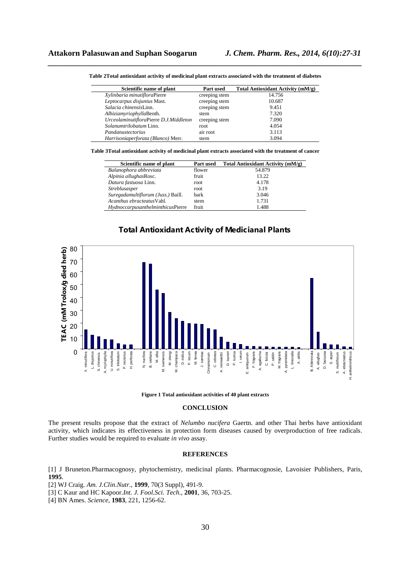| Scientific name of plant               | Part used     | Total Antioxidant Activity (mM/g) |
|----------------------------------------|---------------|-----------------------------------|
| Xylinbaria minutifloraPierre           | creeping stem | 14.756                            |
| Leptocarpus disjuntus Mast.            | creeping stem | 10.687                            |
| Salacia chinensisLinn.                 | creeping stem | 9.451                             |
| AlbiziamyriophyllaBenth.               | stem          | 7.320                             |
| UrceolaminutifloraPierre D.J.Middleton | creeping stem | 7.090                             |
| Solanumtrilobatum Linn.                | root          | 4.054                             |
| Pandanustectorius                      | air root      | 3.113                             |
| Harrisoniaperforata (Blanco) Merr.     | stem          | 3.094                             |

*\_\_\_\_\_\_\_\_\_\_\_\_\_\_\_\_\_\_\_\_\_\_\_\_\_\_\_\_\_\_\_\_\_\_\_\_\_\_\_\_\_\_\_\_\_\_\_\_\_\_\_\_\_\_\_\_\_\_\_\_\_\_\_\_\_\_\_\_\_\_\_\_\_\_\_\_\_\_* **Table 2Total antioxidant activity of medicinal plant extracts associated with the treatment of diabetes** 

**Table 3Total antioxidant activity of medicinal plant extracts associated with the treatment of cancer** 

| Scientific name of plant           | Part used   | Total Antioxidant Activity (mM/g) |
|------------------------------------|-------------|-----------------------------------|
| Balanophora abbreviata             | flower      | 54.879                            |
| Alpinia allughasRosc.              | fruit       | 13.22                             |
| Datura fastuosa Linn.              | root        | 4.178                             |
| Streblusasper                      | root        | 3.19                              |
| Suregadamultiflorum (Juss.) Baill. | <b>bark</b> | 3.046                             |
| Acanthus ebracteatus Vahl.         | stem        | 1.731                             |
| HydnoccarpusanthelminthicusPierre  | fruit       | 1.488                             |





**Figure 1 Total antioxidant activities of 40 plant extracts** 

#### **CONCLUSION**

The present results propose that the extract of *Nelumbo nucifera* Gaertn. and other Thai herbs have antioxidant activity, which indicates its effectiveness in protection form diseases caused by overproduction of free radicals. Further studies would be required to evaluate *in vivo* assay.

#### **REFERENCES**

[1] J Bruneton.Pharmacognosy, phytochemistry, medicinal plants. Pharmacognosie, Lavoisier Publishers, Paris, **1995**.

[2] WJ Craig. *Am. J.Clin.Nutr*., **1999**, 70(3 Suppl), 491-9.

[3] C Kaur and HC Kapoor.*Int. J. Fool.Sci. Tech.,* **2001**, 36, 703-25.

[4] BN Ames. *Science*, **1983**, 221, 1256-62.